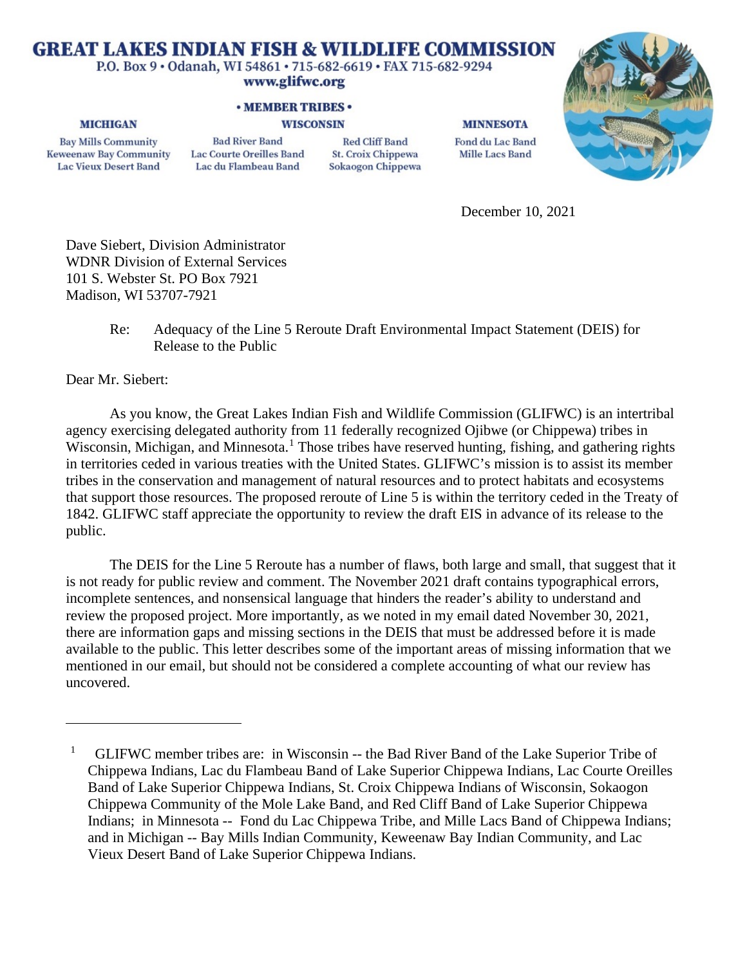# **GREAT LAKES INDIAN FISH & WILDLIFE COMMISSION**

P.O. Box 9 · Odanah, WI 54861 · 715-682-6619 · FAX 715-682-9294

# www.glifwc.org

## **· MEMBER TRIBES ·**

### **WISCONSIN**

**Bay Mills Community Keweenaw Bay Community Lac Vieux Desert Band** 

**MICHIGAN** 

**Bad River Band** Lac Courte Oreilles Band Lac du Flambeau Band

**Red Cliff Band** St. Croix Chippewa Sokaogon Chippewa

#### **MINNESOTA**

Fond du Lac Band **Mille Lacs Band** 



December 10, 2021

Dave Siebert, Division Administrator WDNR Division of External Services 101 S. Webster St. PO Box 7921 Madison, WI 53707-7921

> Re: Adequacy of the Line 5 Reroute Draft Environmental Impact Statement (DEIS) for Release to the Public

Dear Mr. Siebert:

As you know, the Great Lakes Indian Fish and Wildlife Commission (GLIFWC) is an intertribal agency exercising delegated authority from 11 federally recognized Ojibwe (or Chippewa) tribes in Wisconsin, Michigan, and Minnesota.<sup>[1](#page-0-0)</sup> Those tribes have reserved hunting, fishing, and gathering rights in territories ceded in various treaties with the United States. GLIFWC's mission is to assist its member tribes in the conservation and management of natural resources and to protect habitats and ecosystems that support those resources. The proposed reroute of Line 5 is within the territory ceded in the Treaty of 1842. GLIFWC staff appreciate the opportunity to review the draft EIS in advance of its release to the public.

The DEIS for the Line 5 Reroute has a number of flaws, both large and small, that suggest that it is not ready for public review and comment. The November 2021 draft contains typographical errors, incomplete sentences, and nonsensical language that hinders the reader's ability to understand and review the proposed project. More importantly, as we noted in my email dated November 30, 2021, there are information gaps and missing sections in the DEIS that must be addressed before it is made available to the public. This letter describes some of the important areas of missing information that we mentioned in our email, but should not be considered a complete accounting of what our review has uncovered.

<span id="page-0-0"></span><sup>&</sup>lt;sup>1</sup> GLIFWC member tribes are: in Wisconsin -- the Bad River Band of the Lake Superior Tribe of Chippewa Indians, Lac du Flambeau Band of Lake Superior Chippewa Indians, Lac Courte Oreilles Band of Lake Superior Chippewa Indians, St. Croix Chippewa Indians of Wisconsin, Sokaogon Chippewa Community of the Mole Lake Band, and Red Cliff Band of Lake Superior Chippewa Indians; in Minnesota -- Fond du Lac Chippewa Tribe, and Mille Lacs Band of Chippewa Indians; and in Michigan -- Bay Mills Indian Community, Keweenaw Bay Indian Community, and Lac Vieux Desert Band of Lake Superior Chippewa Indians.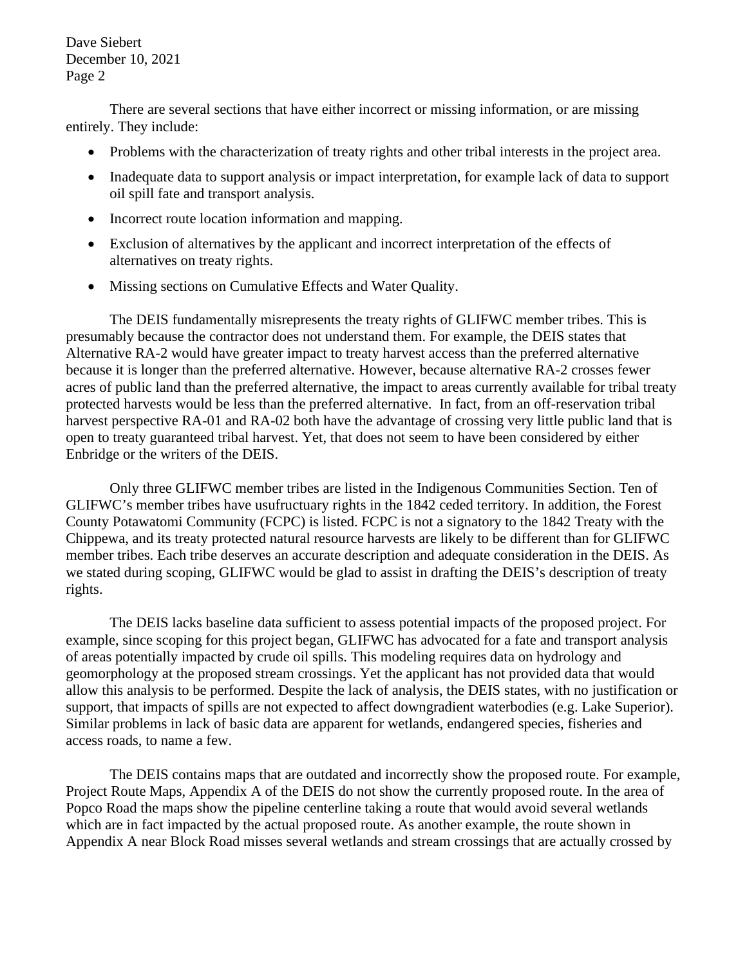Dave Siebert December 10, 2021 Page 2

There are several sections that have either incorrect or missing information, or are missing entirely. They include:

- Problems with the characterization of treaty rights and other tribal interests in the project area.
- Inadequate data to support analysis or impact interpretation, for example lack of data to support oil spill fate and transport analysis.
- Incorrect route location information and mapping.
- Exclusion of alternatives by the applicant and incorrect interpretation of the effects of alternatives on treaty rights.
- Missing sections on Cumulative Effects and Water Ouality.

The DEIS fundamentally misrepresents the treaty rights of GLIFWC member tribes. This is presumably because the contractor does not understand them. For example, the DEIS states that Alternative RA-2 would have greater impact to treaty harvest access than the preferred alternative because it is longer than the preferred alternative. However, because alternative RA-2 crosses fewer acres of public land than the preferred alternative, the impact to areas currently available for tribal treaty protected harvests would be less than the preferred alternative. In fact, from an off-reservation tribal harvest perspective RA-01 and RA-02 both have the advantage of crossing very little public land that is open to treaty guaranteed tribal harvest. Yet, that does not seem to have been considered by either Enbridge or the writers of the DEIS.

Only three GLIFWC member tribes are listed in the Indigenous Communities Section. Ten of GLIFWC's member tribes have usufructuary rights in the 1842 ceded territory. In addition, the Forest County Potawatomi Community (FCPC) is listed. FCPC is not a signatory to the 1842 Treaty with the Chippewa, and its treaty protected natural resource harvests are likely to be different than for GLIFWC member tribes. Each tribe deserves an accurate description and adequate consideration in the DEIS. As we stated during scoping, GLIFWC would be glad to assist in drafting the DEIS's description of treaty rights.

The DEIS lacks baseline data sufficient to assess potential impacts of the proposed project. For example, since scoping for this project began, GLIFWC has advocated for a fate and transport analysis of areas potentially impacted by crude oil spills. This modeling requires data on hydrology and geomorphology at the proposed stream crossings. Yet the applicant has not provided data that would allow this analysis to be performed. Despite the lack of analysis, the DEIS states, with no justification or support, that impacts of spills are not expected to affect downgradient waterbodies (e.g. Lake Superior). Similar problems in lack of basic data are apparent for wetlands, endangered species, fisheries and access roads, to name a few.

The DEIS contains maps that are outdated and incorrectly show the proposed route. For example, Project Route Maps, Appendix A of the DEIS do not show the currently proposed route. In the area of Popco Road the maps show the pipeline centerline taking a route that would avoid several wetlands which are in fact impacted by the actual proposed route. As another example, the route shown in Appendix A near Block Road misses several wetlands and stream crossings that are actually crossed by